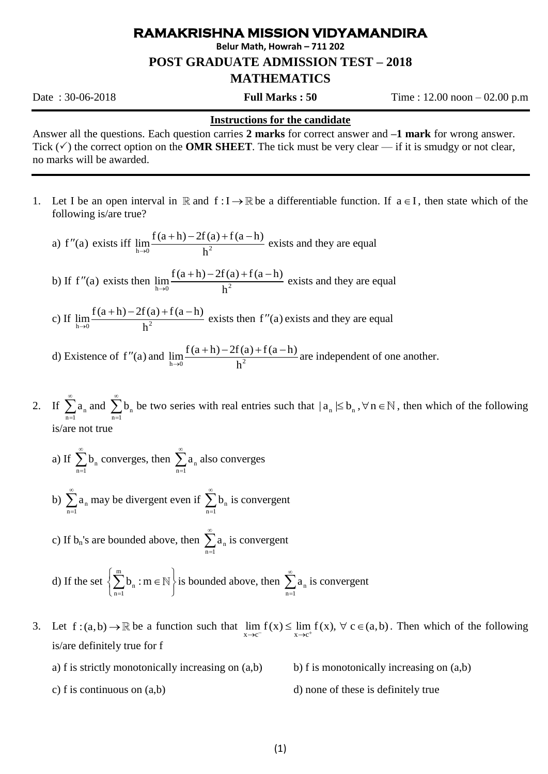## **RAMAKRISHNA MISSION VIDYAMANDIRA**

**Belur Math, Howrah – 711 202**

**POST GRADUATE ADMISSION TEST – 2018**

## **MATHEMATICS**

Date : 30-06-2018 **Full Marks : 50** Time : 12.00 noon – 02.00 p.m

## **Instructions for the candidate**

Answer all the questions. Each question carries **2 marks** for correct answer and **–1 mark** for wrong answer. Tick  $(\checkmark)$  the correct option on the **OMR SHEET**. The tick must be very clear — if it is smudgy or not clear, no marks will be awarded.

1. Let I be an open interval in R and  $f: I \to \mathbb{R}$  be a differentiable function. If  $a \in I$ , then state which of the following is/are true?

a) f''(a) exists iff 
$$
\lim_{h\to 0} \frac{f(a+h)-2f(a)+f(a-h)}{h^2}
$$
 exists and they are equal

- b) If  $f''(a)$  exists then  $\lim_{h \to 0} \frac{f(a+h) 2f(a) + f(a-h)}{h^2}$  $\rightarrow 0$  h  $\frac{(n+1)-2f(a)+f(a-h)}{2}$  exists and they are equal
- c) If  $\lim_{h \to 0} \frac{f(a+h) 2f(a) + f(a-h)}{h^2}$  $\rightarrow 0$  h  $\frac{(n+1)-2f(a)+f(a-h)}{2}$  exists then f''(a) exists and they are equal
- d) Existence of  $f''(a)$  and  $\lim_{h\to 0} \frac{f(a+h)-2f(a)+f(a-h)}{h^2}$  $\rightarrow 0$  h  $\frac{(a+h)-2f(a)+f(a-h)}{2}$  are independent of one another.
- 2. If  $\sum a_n$  $n = 1$ a  $\infty$  $\sum_{n=1} a_n$  and  $\sum_{n=1} b_n$  $n = 1$ b ∞  $\sum_{n=1}^{n} b_n$  be two series with real entries such that  $|a_n| \leq b_n$ ,  $\forall n \in \mathbb{N}$ , then which of the following is/are not true
	- a) If  $\sum b_n$  $n = 1$ b  $\infty$  $\sum_{n=1}^{\infty} b_n$  converges, then  $\sum_{n=1}^{\infty} a_n$  $n = 1$ a  $^{\circ}$  $\sum_{n=1}^{\infty} a_n$  also converges
	- b)  $\sum a_n$  $n = 1$ a ∞  $\sum_{n=1} a_n$  may be divergent even if  $\sum_{n=1} b_n$  $n = 1$ b  $\infty$  $\sum_{n=1}^{\infty} b_n$  is convergent

c) If  $b_n$ 's are bounded above, then  $\sum a_n$  $n = 1$ a  $\infty$  $\sum_{n=1} a_n$  is convergent

d) If the set m  $\sum_{n=1}$ <sup>U</sup>n  $b_{n}$ : m  $\overline{a}$  $\left\{\sum_{n=1}^{m} b_n : m \in \mathbb{N}\right\}$  is bounded above, then  $\sum_{n=1}^{\infty} a_n$  $n = 1$ a  $\infty$  $\sum_{n=1} a_n$  is convergent

3. Let  $f:(a,b) \to \mathbb{R}$  be a function such that  $\lim_{x \to c^-} f(x) \leq \lim_{x \to c^+} f(x)$ ,  $\forall c \in (a,b)$ . Then which of the following is/are definitely true for f

- a) f is strictly monotonically increasing on  $(a,b)$  b) f is monotonically increasing on  $(a,b)$
- c) f is continuous on  $(a,b)$  d) none of these is definitely true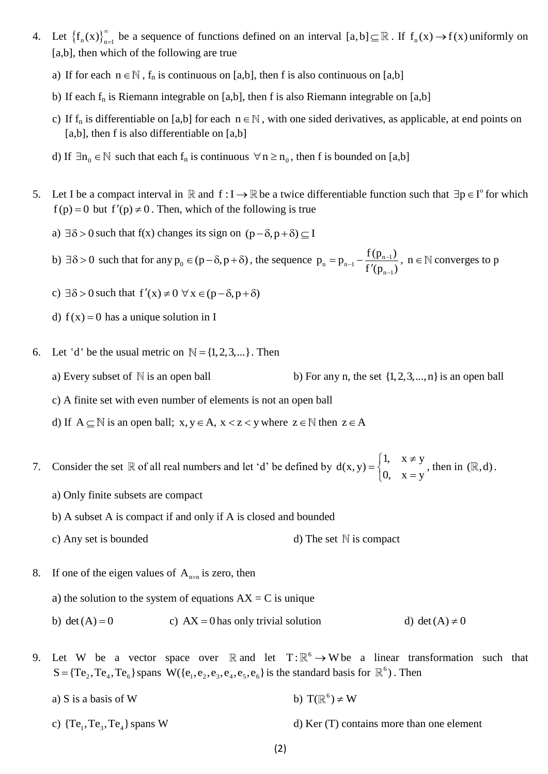- 4. Let  $\{f_n(x)\}_{n=1}^{\infty}$  be a sequence of functions defined on an interval  $[a,b] \subseteq \mathbb{R}$ . If  $f_n(x) \to f(x)$  uniformly on [a,b], then which of the following are true
	- a) If for each  $n \in \mathbb{N}$ ,  $f_n$  is continuous on [a,b], then f is also continuous on [a,b]
	- b) If each  $f_n$  is Riemann integrable on [a,b], then f is also Riemann integrable on [a,b]
	- c) If  $f_n$  is differentiable on [a,b] for each  $n \in \mathbb{N}$ , with one sided derivatives, as applicable, at end points on [a,b], then f is also differentiable on [a,b]
	- d) If  $\exists n_0 \in \mathbb{N}$  such that each  $f_n$  is continuous  $\forall n \ge n_0$ , then f is bounded on [a,b]
- 5. Let I be a compact interval in  $\mathbb R$  and  $f: I \to \mathbb R$  be a twice differentiable function such that  $\exists p \in I^{\circ}$  for which  $f(p) = 0$  but  $f'(p) \neq 0$ . Then, which of the following is true
	- a)  $\exists \delta > 0$  such that f(x) changes its sign on  $(p \delta, p + \delta) \subseteq I$

b)  $\exists \delta > 0$  such that for any  $p_0 \in (p - \delta, p + \delta)$ , the sequence  $p_n = p_{n-1} - \frac{1}{f'(p_n)}$  $n-1$  $p_n = p_{n-1} - \frac{f(p_{n-1})}{f(p_{n-1})}$  $t^{-1}$   $\frac{f(p_{n-1})}{f'(p_{n-1})}$  $\overline{a}$  $= p_{n-1} - \frac{1}{c}$  $\overline{\phantom{a}}$ ,  $n \in \mathbb{N}$  converges to p

- c)  $\exists \delta > 0$  such that  $f'(x) \neq 0 \,\forall x \in (p \delta, p + \delta)$
- d)  $f(x) = 0$  has a unique solution in I
- 6. Let 'd' be the usual metric on  $\mathbb{N} = \{1, 2, 3, ...\}$ . Then
	- a) Every subset of  $N$  is an open ball {1,2,3,...,n} is an open ball
	- c) A finite set with even number of elements is not an open ball
	- d) If  $A \subseteq \mathbb{N}$  is an open ball;  $x, y \in A$ ,  $x < z < y$  where  $z \in \mathbb{N}$  then  $z \in A$
- 7. Consider the set  $\mathbb R$  of all real numbers and let 'd' be defined by  $d(x, y) = \begin{cases} 1, & x \neq y \\ 0, & y \neq z \end{cases}$  $d(x, y)$  $0, \quad x = y$  $\begin{cases} 1, & x \neq 0 \end{cases}$  $=\left\{ \right.$  $\begin{cases} 0, & x = \end{cases}$ , then in  $(\mathbb{R}, d)$ .
	- a) Only finite subsets are compact

b) A subset A is compact if and only if A is closed and bounded

- c) Any set is bounded d) The set  $\mathbb N$  is compact
- 8. If one of the eigen values of  $A_{n \times n}$  is zero, then

a) the solution to the system of equations  $AX = C$  is unique

- b)  $det(A) = 0$ c)  $AX = 0$  has only trivial solution d) d) det  $(A) \neq 0$
- 9. Let W be a vector space over R and let  $T: \mathbb{R}^6 \to W$  be a linear transformation such that  $S = {Te_2, Te_4, Te_6}$  spans  $W({e_1, e_2, e_3, e_4, e_5, e_6}$  is the standard basis for  $\mathbb{R}^6$ ). Then
	- a)  $S$  is a basis of  $W$ b)  $T(\mathbb{R}^6) \neq W$
	- c)  $\{Te_1, Te_3, Te_4\}$  spans W  $d$ ) Ker (T) contains more than one element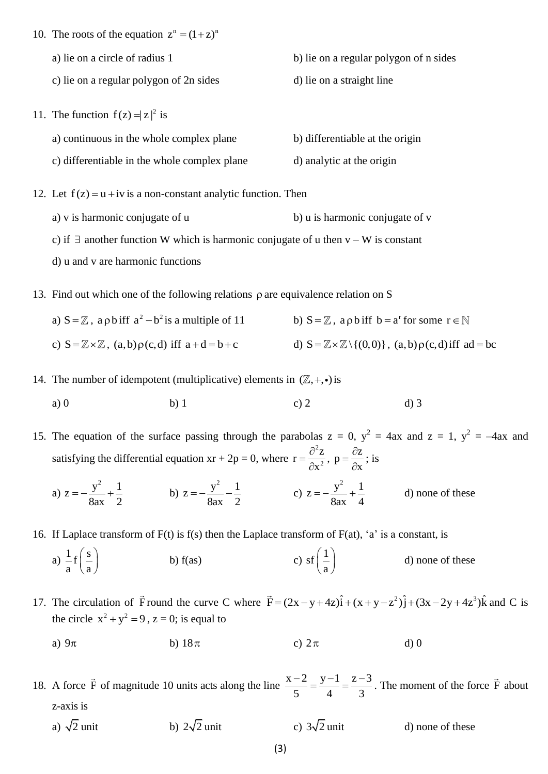10. The roots of the equation  $z^n = (1 + z)^n$ a) lie on a circle of radius 1 b) lie on a regular polygon of n sides c) lie on a regular polygon of 2n sides d) lie on a straight line 11. The function  $f(z) = |z|^2$  is a) continuous in the whole complex plane b) differentiable at the origin c) differentiable in the whole complex plane d) analytic at the origin

12. Let  $f(z) = u + iv$  is a non-constant analytic function. Then

a) v is harmonic conjugate of u b) u is harmonic conjugate of v

c) if  $\exists$  another function W which is harmonic conjugate of u then  $v - W$  is constant

d) u and v are harmonic functions

13. Find out which one of the following relations  $\rho$  are equivalence relation on S

a)  $S = \mathbb{Z}$ , a  $\rho$  b iff  $a^2 - b^2$  is a multiple of 11 b)  $S = \mathbb{Z}$ , a  $\rho$  b iff  $b = a^r$  for some  $r \in$ c)  $S = \mathbb{Z} \times \mathbb{Z}$ ,  $(a,b) \rho(c,d)$  iff  $a+d=b+c$ d)  $S = \mathbb{Z} \times \mathbb{Z} \setminus \{(0,0)\}\,$ ,  $(a,b) \rho(c,d)$  iff ad = bc

- 14. The number of idempotent (multiplicative) elements in  $(\mathbb{Z}, +, \cdot)$  is
	- a) 0 b) 1 c) 2 d) 3

15. The equation of the surface passing through the parabolas  $z = 0$ ,  $y^2 = 4ax$  and  $z = 1$ ,  $y^2 = -4ax$  and satisfying the differential equation  $xr + 2p = 0$ , where 2 2  $r = \frac{\partial^2 z}{\partial x^2}$ x  $=\frac{\partial}{\partial x}$  $\partial$  $p = \frac{\partial z}{\partial x}$ x  $=\frac{\partial}{\partial t}$  $\hat{o}$ ; is

a)  $z = -\frac{y^2}{2} + \frac{1}{z}$ 8ax 2  $=-\frac{y}{z}+\frac{1}{z}$  b)  $z = -\frac{y^2}{2} - \frac{1}{z}$ 8ax 2  $=-\frac{y}{z}-\frac{1}{z}$  c)  $z = -\frac{y^2}{2} + \frac{1}{2}$ 8ax 4  $=-\frac{y}{z}+\frac{1}{z}$  d) none of these

16. If Laplace transform of  $F(t)$  is  $f(s)$  then the Laplace transform of  $F(at)$ , 'a' is a constant, is

a)  $\frac{1}{-f} \left( \frac{s}{-} \right)$  $rac{1}{a}f\left(\frac{s}{a}\right)$ b)  $f(as)$  $\text{sf} \left( \frac{1}{1} \right)$  $\left(\frac{1}{a}\right)$ d) none of these

17. The circulation of  $\vec{F}$  round the curve C where  $\vec{F} = (2x - y + 4z)\hat{i} + (x + y - z^2)\hat{j} + (3x - 2y + 4z^3)\hat{k}$  and C is the circle  $x^2 + y^2 = 9$ ,  $z = 0$ ; is equal to

- a)  $9\pi$ b)  $18\pi$ c)  $2\pi$ d) 0
- 18. A force  $\vec{F}$  of magnitude 10 units acts along the line  $\frac{x-2}{5} = \frac{y-1}{1} = \frac{z-3}{3}$  $\frac{1}{5} = \frac{1}{4} = \frac{1}{3}$  $\frac{-2}{5} = \frac{y-1}{4} = \frac{z-3}{2}$ . The moment of the force  $\vec{F}$  about z-axis is
	- a)  $\sqrt{2}$  unit b)  $2\sqrt{2}$  unit c)  $3\sqrt{2}$  unit d) none of these